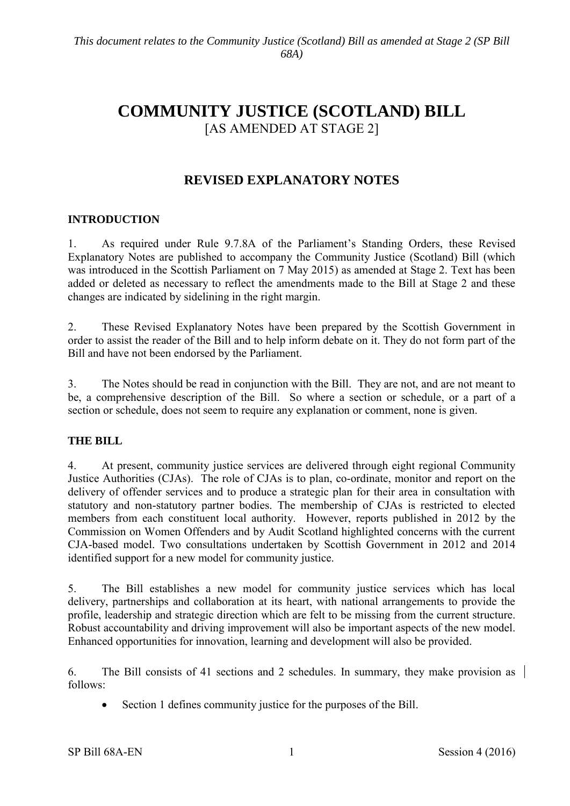# **COMMUNITY JUSTICE (SCOTLAND) BILL** [AS AMENDED AT STAGE 2]

# **REVISED EXPLANATORY NOTES**

# **INTRODUCTION**

1. As required under Rule 9.7.8A of the Parliament's Standing Orders, these Revised Explanatory Notes are published to accompany the Community Justice (Scotland) Bill (which was introduced in the Scottish Parliament on 7 May 2015) as amended at Stage 2. Text has been added or deleted as necessary to reflect the amendments made to the Bill at Stage 2 and these changes are indicated by sidelining in the right margin.

2. These Revised Explanatory Notes have been prepared by the Scottish Government in order to assist the reader of the Bill and to help inform debate on it. They do not form part of the Bill and have not been endorsed by the Parliament.

3. The Notes should be read in conjunction with the Bill. They are not, and are not meant to be, a comprehensive description of the Bill. So where a section or schedule, or a part of a section or schedule, does not seem to require any explanation or comment, none is given.

#### **THE BILL**

4. At present, community justice services are delivered through eight regional Community Justice Authorities (CJAs). The role of CJAs is to plan, co-ordinate, monitor and report on the delivery of offender services and to produce a strategic plan for their area in consultation with statutory and non-statutory partner bodies. The membership of CJAs is restricted to elected members from each constituent local authority. However, reports published in 2012 by the Commission on Women Offenders and by Audit Scotland highlighted concerns with the current CJA-based model. Two consultations undertaken by Scottish Government in 2012 and 2014 identified support for a new model for community justice.

5. The Bill establishes a new model for community justice services which has local delivery, partnerships and collaboration at its heart, with national arrangements to provide the profile, leadership and strategic direction which are felt to be missing from the current structure. Robust accountability and driving improvement will also be important aspects of the new model. Enhanced opportunities for innovation, learning and development will also be provided.

6. The Bill consists of 41 sections and 2 schedules. In summary, they make provision as follows:

Section 1 defines community justice for the purposes of the Bill.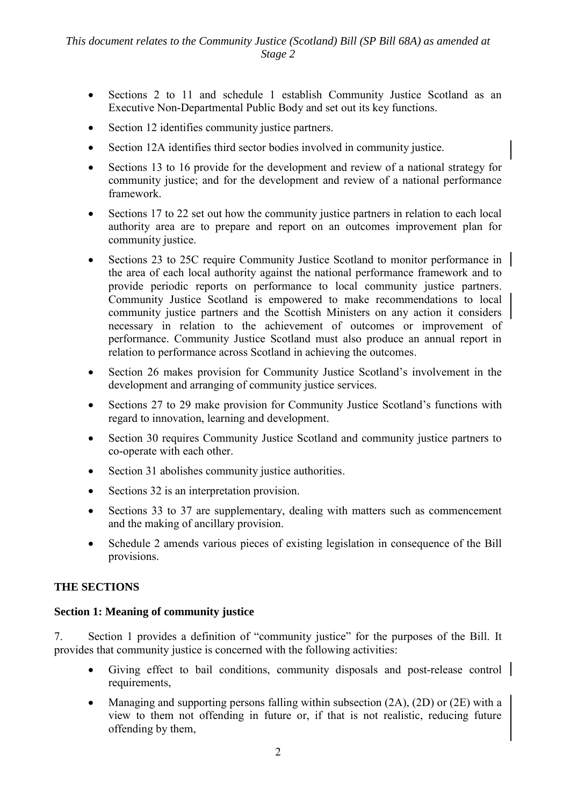- Sections 2 to 11 and schedule 1 establish Community Justice Scotland as an Executive Non-Departmental Public Body and set out its key functions.
- Section 12 identifies community justice partners.
- Section 12A identifies third sector bodies involved in community justice.
- Sections 13 to 16 provide for the development and review of a national strategy for community justice; and for the development and review of a national performance framework.
- Sections 17 to 22 set out how the community justice partners in relation to each local authority area are to prepare and report on an outcomes improvement plan for community justice.
- Sections 23 to 25C require Community Justice Scotland to monitor performance in the area of each local authority against the national performance framework and to provide periodic reports on performance to local community justice partners. Community Justice Scotland is empowered to make recommendations to local community justice partners and the Scottish Ministers on any action it considers necessary in relation to the achievement of outcomes or improvement of performance. Community Justice Scotland must also produce an annual report in relation to performance across Scotland in achieving the outcomes.
- Section 26 makes provision for Community Justice Scotland's involvement in the development and arranging of community justice services.
- Sections 27 to 29 make provision for Community Justice Scotland's functions with regard to innovation, learning and development.
- Section 30 requires Community Justice Scotland and community justice partners to co-operate with each other.
- Section 31 abolishes community justice authorities.
- Sections 32 is an interpretation provision.
- Sections 33 to 37 are supplementary, dealing with matters such as commencement and the making of ancillary provision.
- Schedule 2 amends various pieces of existing legislation in consequence of the Bill provisions.

# **THE SECTIONS**

# **Section 1: Meaning of community justice**

7. Section 1 provides a definition of "community justice" for the purposes of the Bill. It provides that community justice is concerned with the following activities:

- Giving effect to bail conditions, community disposals and post-release control | requirements,
- Managing and supporting persons falling within subsection (2A), (2D) or (2E) with a view to them not offending in future or, if that is not realistic, reducing future offending by them,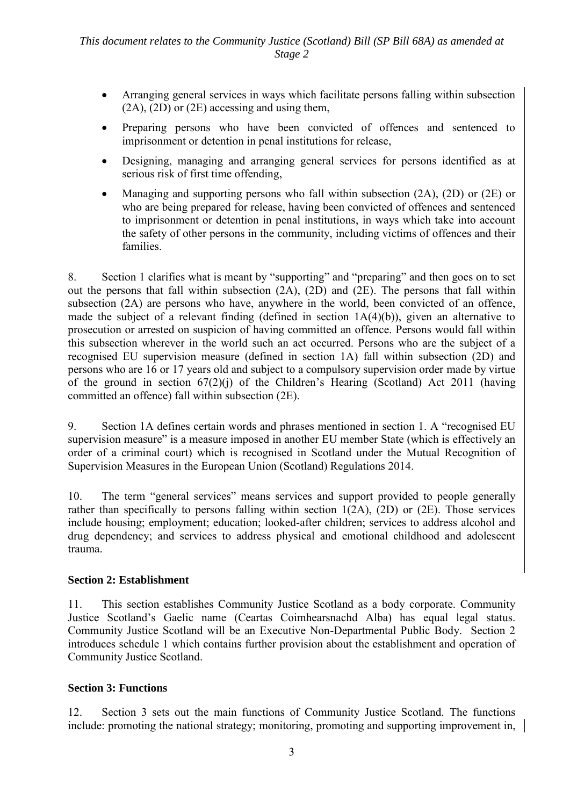- Arranging general services in ways which facilitate persons falling within subsection (2A), (2D) or (2E) accessing and using them,
- Preparing persons who have been convicted of offences and sentenced to imprisonment or detention in penal institutions for release,
- Designing, managing and arranging general services for persons identified as at serious risk of first time offending,
- Managing and supporting persons who fall within subsection (2A), (2D) or (2E) or who are being prepared for release, having been convicted of offences and sentenced to imprisonment or detention in penal institutions, in ways which take into account the safety of other persons in the community, including victims of offences and their families.

8. Section 1 clarifies what is meant by "supporting" and "preparing" and then goes on to set out the persons that fall within subsection (2A), (2D) and (2E). The persons that fall within subsection (2A) are persons who have, anywhere in the world, been convicted of an offence, made the subject of a relevant finding (defined in section 1A(4)(b)), given an alternative to prosecution or arrested on suspicion of having committed an offence. Persons would fall within this subsection wherever in the world such an act occurred. Persons who are the subject of a recognised EU supervision measure (defined in section 1A) fall within subsection (2D) and persons who are 16 or 17 years old and subject to a compulsory supervision order made by virtue of the ground in section 67(2)(j) of the Children's Hearing (Scotland) Act 2011 (having committed an offence) fall within subsection (2E).

9. Section 1A defines certain words and phrases mentioned in section 1. A "recognised EU supervision measure" is a measure imposed in another EU member State (which is effectively an order of a criminal court) which is recognised in Scotland under the Mutual Recognition of Supervision Measures in the European Union (Scotland) Regulations 2014.

10. The term "general services" means services and support provided to people generally rather than specifically to persons falling within section 1(2A), (2D) or (2E). Those services include housing; employment; education; looked-after children; services to address alcohol and drug dependency; and services to address physical and emotional childhood and adolescent trauma.

# **Section 2: Establishment**

11. This section establishes Community Justice Scotland as a body corporate. Community Justice Scotland's Gaelic name (Ceartas Coimhearsnachd Alba) has equal legal status. Community Justice Scotland will be an Executive Non-Departmental Public Body. Section 2 introduces schedule 1 which contains further provision about the establishment and operation of Community Justice Scotland.

# **Section 3: Functions**

12. Section 3 sets out the main functions of Community Justice Scotland. The functions include: promoting the national strategy; monitoring, promoting and supporting improvement in,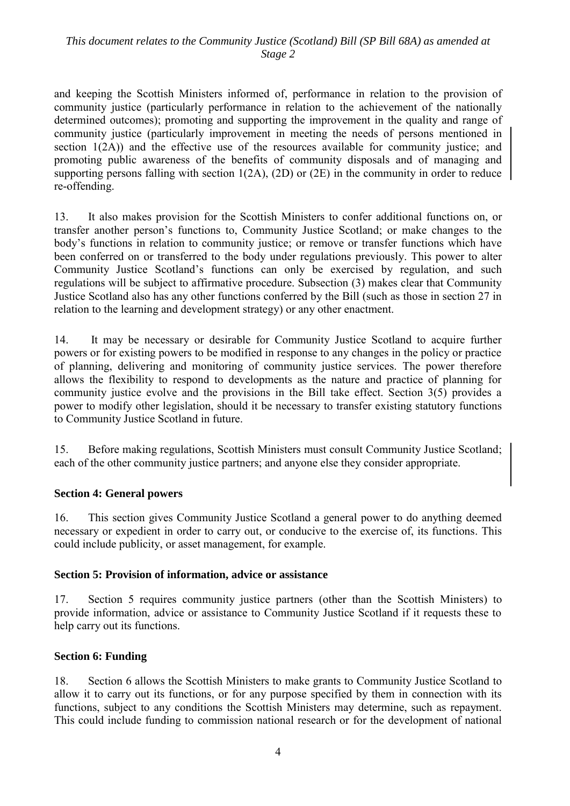# *This document relates to the Community Justice (Scotland) Bill (SP Bill 68A) as amended at Stage 2*

and keeping the Scottish Ministers informed of, performance in relation to the provision of community justice (particularly performance in relation to the achievement of the nationally determined outcomes); promoting and supporting the improvement in the quality and range of community justice (particularly improvement in meeting the needs of persons mentioned in section 1(2A)) and the effective use of the resources available for community justice; and promoting public awareness of the benefits of community disposals and of managing and supporting persons falling with section 1(2A), (2D) or (2E) in the community in order to reduce re-offending.

13. It also makes provision for the Scottish Ministers to confer additional functions on, or transfer another person's functions to, Community Justice Scotland; or make changes to the body's functions in relation to community justice; or remove or transfer functions which have been conferred on or transferred to the body under regulations previously. This power to alter Community Justice Scotland's functions can only be exercised by regulation, and such regulations will be subject to affirmative procedure. Subsection (3) makes clear that Community Justice Scotland also has any other functions conferred by the Bill (such as those in section 27 in relation to the learning and development strategy) or any other enactment.

14. It may be necessary or desirable for Community Justice Scotland to acquire further powers or for existing powers to be modified in response to any changes in the policy or practice of planning, delivering and monitoring of community justice services. The power therefore allows the flexibility to respond to developments as the nature and practice of planning for community justice evolve and the provisions in the Bill take effect. Section 3(5) provides a power to modify other legislation, should it be necessary to transfer existing statutory functions to Community Justice Scotland in future.

15. Before making regulations, Scottish Ministers must consult Community Justice Scotland; each of the other community justice partners; and anyone else they consider appropriate.

#### **Section 4: General powers**

16. This section gives Community Justice Scotland a general power to do anything deemed necessary or expedient in order to carry out, or conducive to the exercise of, its functions. This could include publicity, or asset management, for example.

#### **Section 5: Provision of information, advice or assistance**

17. Section 5 requires community justice partners (other than the Scottish Ministers) to provide information, advice or assistance to Community Justice Scotland if it requests these to help carry out its functions.

#### **Section 6: Funding**

18. Section 6 allows the Scottish Ministers to make grants to Community Justice Scotland to allow it to carry out its functions, or for any purpose specified by them in connection with its functions, subject to any conditions the Scottish Ministers may determine, such as repayment. This could include funding to commission national research or for the development of national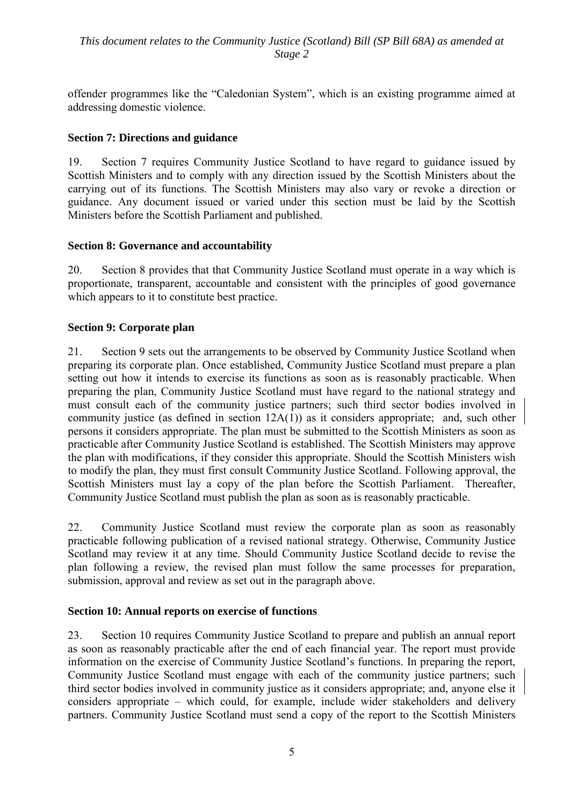offender programmes like the "Caledonian System", which is an existing programme aimed at addressing domestic violence.

# **Section 7: Directions and guidance**

19. Section 7 requires Community Justice Scotland to have regard to guidance issued by Scottish Ministers and to comply with any direction issued by the Scottish Ministers about the carrying out of its functions. The Scottish Ministers may also vary or revoke a direction or guidance. Any document issued or varied under this section must be laid by the Scottish Ministers before the Scottish Parliament and published.

#### **Section 8: Governance and accountability**

20. Section 8 provides that that Community Justice Scotland must operate in a way which is proportionate, transparent, accountable and consistent with the principles of good governance which appears to it to constitute best practice.

#### **Section 9: Corporate plan**

21. Section 9 sets out the arrangements to be observed by Community Justice Scotland when preparing its corporate plan. Once established, Community Justice Scotland must prepare a plan setting out how it intends to exercise its functions as soon as is reasonably practicable. When preparing the plan, Community Justice Scotland must have regard to the national strategy and must consult each of the community justice partners; such third sector bodies involved in community justice (as defined in section 12A(1)) as it considers appropriate; and, such other persons it considers appropriate. The plan must be submitted to the Scottish Ministers as soon as practicable after Community Justice Scotland is established. The Scottish Ministers may approve the plan with modifications, if they consider this appropriate. Should the Scottish Ministers wish to modify the plan, they must first consult Community Justice Scotland. Following approval, the Scottish Ministers must lay a copy of the plan before the Scottish Parliament. Thereafter, Community Justice Scotland must publish the plan as soon as is reasonably practicable.

22. Community Justice Scotland must review the corporate plan as soon as reasonably practicable following publication of a revised national strategy. Otherwise, Community Justice Scotland may review it at any time. Should Community Justice Scotland decide to revise the plan following a review, the revised plan must follow the same processes for preparation, submission, approval and review as set out in the paragraph above.

#### **Section 10: Annual reports on exercise of functions**

23. Section 10 requires Community Justice Scotland to prepare and publish an annual report as soon as reasonably practicable after the end of each financial year. The report must provide information on the exercise of Community Justice Scotland's functions. In preparing the report, Community Justice Scotland must engage with each of the community justice partners; such third sector bodies involved in community justice as it considers appropriate; and, anyone else it considers appropriate – which could, for example, include wider stakeholders and delivery partners. Community Justice Scotland must send a copy of the report to the Scottish Ministers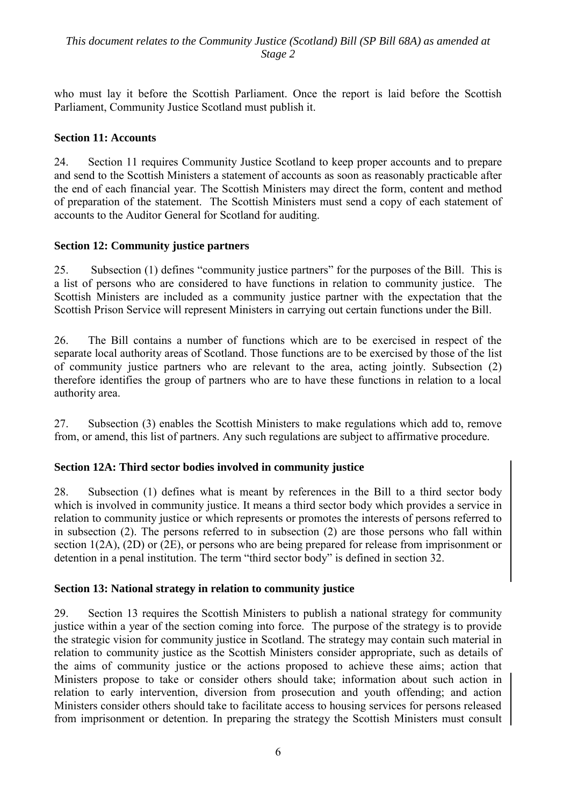who must lay it before the Scottish Parliament. Once the report is laid before the Scottish Parliament, Community Justice Scotland must publish it.

# **Section 11: Accounts**

24. Section 11 requires Community Justice Scotland to keep proper accounts and to prepare and send to the Scottish Ministers a statement of accounts as soon as reasonably practicable after the end of each financial year. The Scottish Ministers may direct the form, content and method of preparation of the statement. The Scottish Ministers must send a copy of each statement of accounts to the Auditor General for Scotland for auditing.

# **Section 12: Community justice partners**

25. Subsection (1) defines "community justice partners" for the purposes of the Bill. This is a list of persons who are considered to have functions in relation to community justice. The Scottish Ministers are included as a community justice partner with the expectation that the Scottish Prison Service will represent Ministers in carrying out certain functions under the Bill.

26. The Bill contains a number of functions which are to be exercised in respect of the separate local authority areas of Scotland. Those functions are to be exercised by those of the list of community justice partners who are relevant to the area, acting jointly. Subsection (2) therefore identifies the group of partners who are to have these functions in relation to a local authority area.

27. Subsection (3) enables the Scottish Ministers to make regulations which add to, remove from, or amend, this list of partners. Any such regulations are subject to affirmative procedure.

#### **Section 12A: Third sector bodies involved in community justice**

28. Subsection (1) defines what is meant by references in the Bill to a third sector body which is involved in community justice. It means a third sector body which provides a service in relation to community justice or which represents or promotes the interests of persons referred to in subsection (2). The persons referred to in subsection (2) are those persons who fall within section 1(2A), (2D) or (2E), or persons who are being prepared for release from imprisonment or detention in a penal institution. The term "third sector body" is defined in section 32.

#### **Section 13: National strategy in relation to community justice**

29. Section 13 requires the Scottish Ministers to publish a national strategy for community justice within a year of the section coming into force. The purpose of the strategy is to provide the strategic vision for community justice in Scotland. The strategy may contain such material in relation to community justice as the Scottish Ministers consider appropriate, such as details of the aims of community justice or the actions proposed to achieve these aims; action that Ministers propose to take or consider others should take; information about such action in relation to early intervention, diversion from prosecution and youth offending; and action Ministers consider others should take to facilitate access to housing services for persons released from imprisonment or detention. In preparing the strategy the Scottish Ministers must consult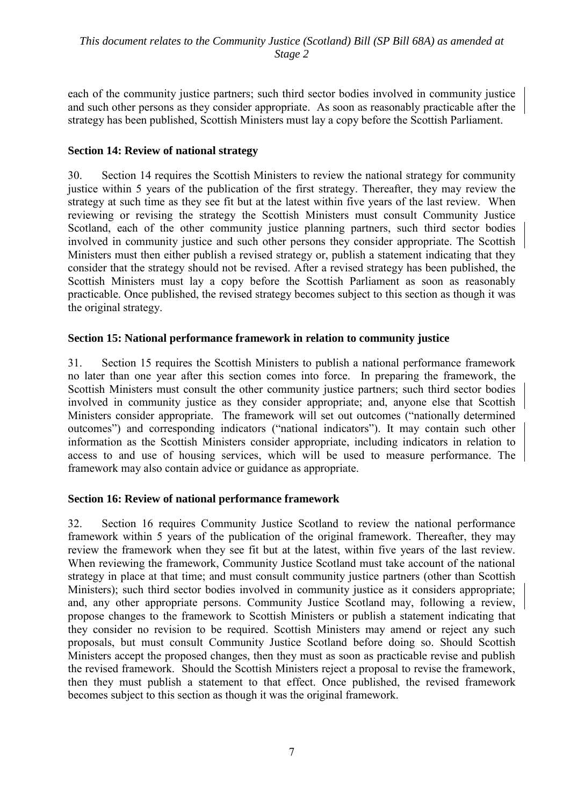each of the community justice partners; such third sector bodies involved in community justice and such other persons as they consider appropriate. As soon as reasonably practicable after the strategy has been published, Scottish Ministers must lay a copy before the Scottish Parliament.

# **Section 14: Review of national strategy**

30. Section 14 requires the Scottish Ministers to review the national strategy for community justice within 5 years of the publication of the first strategy. Thereafter, they may review the strategy at such time as they see fit but at the latest within five years of the last review. When reviewing or revising the strategy the Scottish Ministers must consult Community Justice Scotland, each of the other community justice planning partners, such third sector bodies involved in community justice and such other persons they consider appropriate. The Scottish Ministers must then either publish a revised strategy or, publish a statement indicating that they consider that the strategy should not be revised. After a revised strategy has been published, the Scottish Ministers must lay a copy before the Scottish Parliament as soon as reasonably practicable. Once published, the revised strategy becomes subject to this section as though it was the original strategy.

#### **Section 15: National performance framework in relation to community justice**

31. Section 15 requires the Scottish Ministers to publish a national performance framework no later than one year after this section comes into force. In preparing the framework, the Scottish Ministers must consult the other community justice partners; such third sector bodies involved in community justice as they consider appropriate; and, anyone else that Scottish Ministers consider appropriate. The framework will set out outcomes ("nationally determined outcomes") and corresponding indicators ("national indicators"). It may contain such other information as the Scottish Ministers consider appropriate, including indicators in relation to access to and use of housing services, which will be used to measure performance. The framework may also contain advice or guidance as appropriate.

#### **Section 16: Review of national performance framework**

32. Section 16 requires Community Justice Scotland to review the national performance framework within 5 years of the publication of the original framework. Thereafter, they may review the framework when they see fit but at the latest, within five years of the last review. When reviewing the framework, Community Justice Scotland must take account of the national strategy in place at that time; and must consult community justice partners (other than Scottish Ministers); such third sector bodies involved in community justice as it considers appropriate; and, any other appropriate persons. Community Justice Scotland may, following a review, propose changes to the framework to Scottish Ministers or publish a statement indicating that they consider no revision to be required. Scottish Ministers may amend or reject any such proposals, but must consult Community Justice Scotland before doing so. Should Scottish Ministers accept the proposed changes, then they must as soon as practicable revise and publish the revised framework. Should the Scottish Ministers reject a proposal to revise the framework, then they must publish a statement to that effect. Once published, the revised framework becomes subject to this section as though it was the original framework.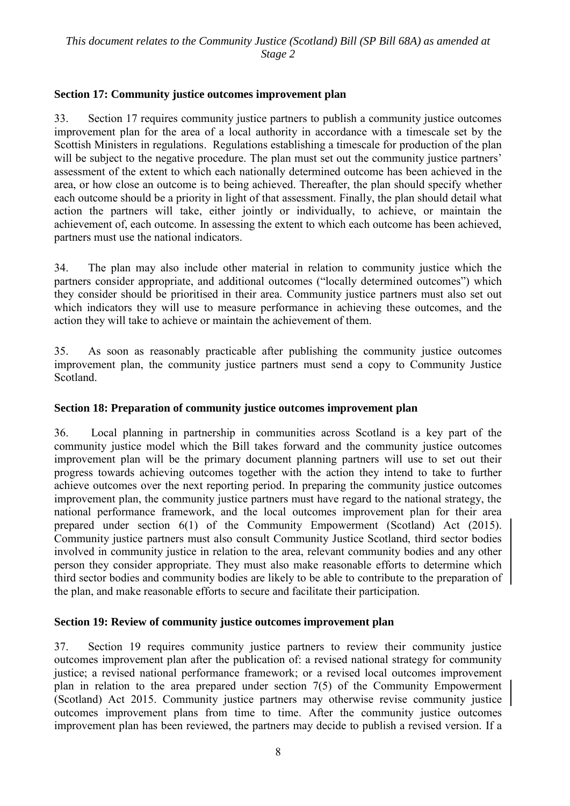## **Section 17: Community justice outcomes improvement plan**

33. Section 17 requires community justice partners to publish a community justice outcomes improvement plan for the area of a local authority in accordance with a timescale set by the Scottish Ministers in regulations. Regulations establishing a timescale for production of the plan will be subject to the negative procedure. The plan must set out the community justice partners' assessment of the extent to which each nationally determined outcome has been achieved in the area, or how close an outcome is to being achieved. Thereafter, the plan should specify whether each outcome should be a priority in light of that assessment. Finally, the plan should detail what action the partners will take, either jointly or individually, to achieve, or maintain the achievement of, each outcome. In assessing the extent to which each outcome has been achieved, partners must use the national indicators.

34. The plan may also include other material in relation to community justice which the partners consider appropriate, and additional outcomes ("locally determined outcomes") which they consider should be prioritised in their area. Community justice partners must also set out which indicators they will use to measure performance in achieving these outcomes, and the action they will take to achieve or maintain the achievement of them.

35. As soon as reasonably practicable after publishing the community justice outcomes improvement plan, the community justice partners must send a copy to Community Justice Scotland.

## **Section 18: Preparation of community justice outcomes improvement plan**

36. Local planning in partnership in communities across Scotland is a key part of the community justice model which the Bill takes forward and the community justice outcomes improvement plan will be the primary document planning partners will use to set out their progress towards achieving outcomes together with the action they intend to take to further achieve outcomes over the next reporting period. In preparing the community justice outcomes improvement plan, the community justice partners must have regard to the national strategy, the national performance framework, and the local outcomes improvement plan for their area prepared under section 6(1) of the Community Empowerment (Scotland) Act (2015). Community justice partners must also consult Community Justice Scotland, third sector bodies involved in community justice in relation to the area, relevant community bodies and any other person they consider appropriate. They must also make reasonable efforts to determine which third sector bodies and community bodies are likely to be able to contribute to the preparation of the plan, and make reasonable efforts to secure and facilitate their participation.

#### **Section 19: Review of community justice outcomes improvement plan**

37. Section 19 requires community justice partners to review their community justice outcomes improvement plan after the publication of: a revised national strategy for community justice; a revised national performance framework; or a revised local outcomes improvement plan in relation to the area prepared under section 7(5) of the Community Empowerment (Scotland) Act 2015. Community justice partners may otherwise revise community justice outcomes improvement plans from time to time. After the community justice outcomes improvement plan has been reviewed, the partners may decide to publish a revised version. If a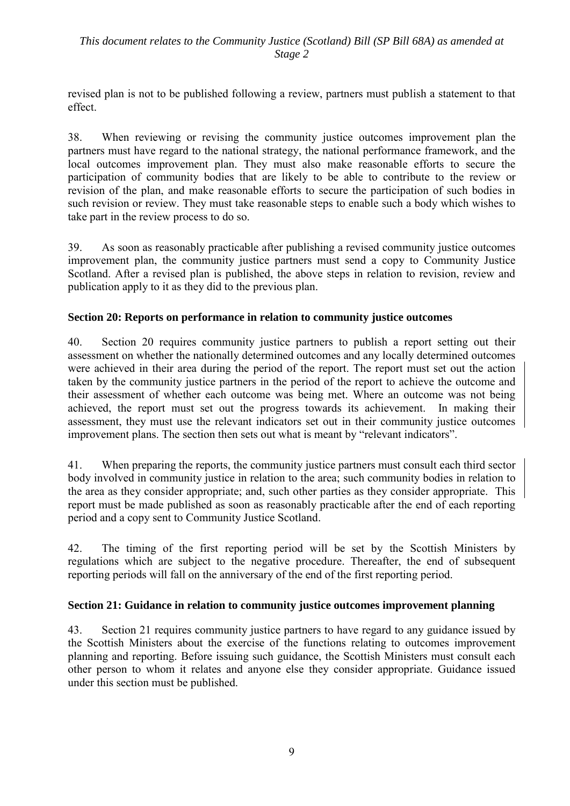revised plan is not to be published following a review, partners must publish a statement to that effect.

38. When reviewing or revising the community justice outcomes improvement plan the partners must have regard to the national strategy, the national performance framework, and the local outcomes improvement plan. They must also make reasonable efforts to secure the participation of community bodies that are likely to be able to contribute to the review or revision of the plan, and make reasonable efforts to secure the participation of such bodies in such revision or review. They must take reasonable steps to enable such a body which wishes to take part in the review process to do so.

39. As soon as reasonably practicable after publishing a revised community justice outcomes improvement plan, the community justice partners must send a copy to Community Justice Scotland. After a revised plan is published, the above steps in relation to revision, review and publication apply to it as they did to the previous plan.

# **Section 20: Reports on performance in relation to community justice outcomes**

40. Section 20 requires community justice partners to publish a report setting out their assessment on whether the nationally determined outcomes and any locally determined outcomes were achieved in their area during the period of the report. The report must set out the action taken by the community justice partners in the period of the report to achieve the outcome and their assessment of whether each outcome was being met. Where an outcome was not being achieved, the report must set out the progress towards its achievement. In making their assessment, they must use the relevant indicators set out in their community justice outcomes improvement plans. The section then sets out what is meant by "relevant indicators".

41. When preparing the reports, the community justice partners must consult each third sector body involved in community justice in relation to the area; such community bodies in relation to the area as they consider appropriate; and, such other parties as they consider appropriate. This report must be made published as soon as reasonably practicable after the end of each reporting period and a copy sent to Community Justice Scotland.

42. The timing of the first reporting period will be set by the Scottish Ministers by regulations which are subject to the negative procedure. Thereafter, the end of subsequent reporting periods will fall on the anniversary of the end of the first reporting period.

#### **Section 21: Guidance in relation to community justice outcomes improvement planning**

43. Section 21 requires community justice partners to have regard to any guidance issued by the Scottish Ministers about the exercise of the functions relating to outcomes improvement planning and reporting. Before issuing such guidance, the Scottish Ministers must consult each other person to whom it relates and anyone else they consider appropriate. Guidance issued under this section must be published.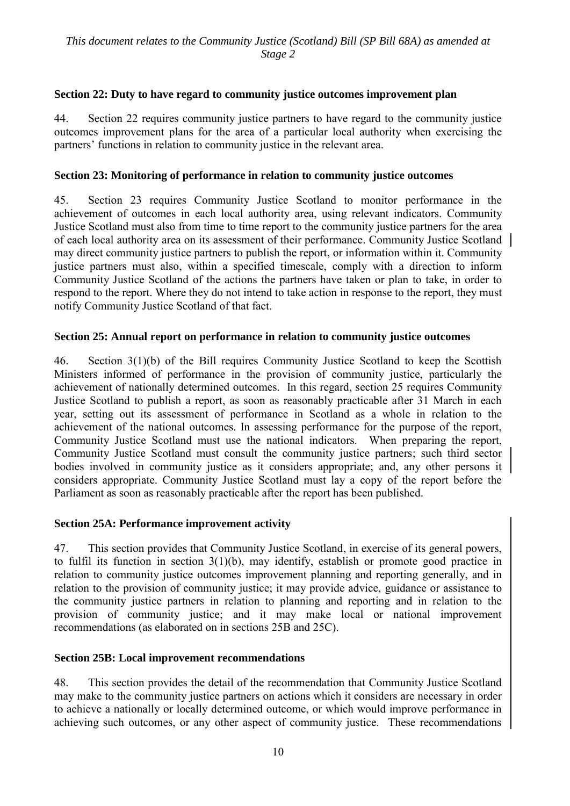# **Section 22: Duty to have regard to community justice outcomes improvement plan**

44. Section 22 requires community justice partners to have regard to the community justice outcomes improvement plans for the area of a particular local authority when exercising the partners' functions in relation to community justice in the relevant area.

## **Section 23: Monitoring of performance in relation to community justice outcomes**

45. Section 23 requires Community Justice Scotland to monitor performance in the achievement of outcomes in each local authority area, using relevant indicators. Community Justice Scotland must also from time to time report to the community justice partners for the area of each local authority area on its assessment of their performance. Community Justice Scotland may direct community justice partners to publish the report, or information within it. Community justice partners must also, within a specified timescale, comply with a direction to inform Community Justice Scotland of the actions the partners have taken or plan to take, in order to respond to the report. Where they do not intend to take action in response to the report, they must notify Community Justice Scotland of that fact.

#### **Section 25: Annual report on performance in relation to community justice outcomes**

46. Section 3(1)(b) of the Bill requires Community Justice Scotland to keep the Scottish Ministers informed of performance in the provision of community justice, particularly the achievement of nationally determined outcomes. In this regard, section 25 requires Community Justice Scotland to publish a report, as soon as reasonably practicable after 31 March in each year, setting out its assessment of performance in Scotland as a whole in relation to the achievement of the national outcomes. In assessing performance for the purpose of the report, Community Justice Scotland must use the national indicators. When preparing the report, Community Justice Scotland must consult the community justice partners; such third sector bodies involved in community justice as it considers appropriate; and, any other persons it considers appropriate. Community Justice Scotland must lay a copy of the report before the Parliament as soon as reasonably practicable after the report has been published.

# **Section 25A: Performance improvement activity**

47. This section provides that Community Justice Scotland, in exercise of its general powers, to fulfil its function in section 3(1)(b), may identify, establish or promote good practice in relation to community justice outcomes improvement planning and reporting generally, and in relation to the provision of community justice; it may provide advice, guidance or assistance to the community justice partners in relation to planning and reporting and in relation to the provision of community justice; and it may make local or national improvement recommendations (as elaborated on in sections 25B and 25C).

# **Section 25B: Local improvement recommendations**

48. This section provides the detail of the recommendation that Community Justice Scotland may make to the community justice partners on actions which it considers are necessary in order to achieve a nationally or locally determined outcome, or which would improve performance in achieving such outcomes, or any other aspect of community justice. These recommendations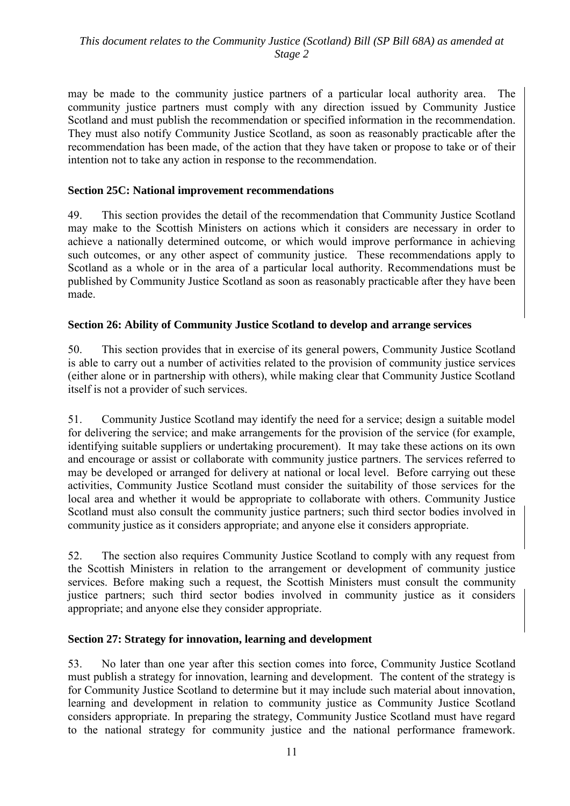may be made to the community justice partners of a particular local authority area. The community justice partners must comply with any direction issued by Community Justice Scotland and must publish the recommendation or specified information in the recommendation. They must also notify Community Justice Scotland, as soon as reasonably practicable after the recommendation has been made, of the action that they have taken or propose to take or of their intention not to take any action in response to the recommendation.

## **Section 25C: National improvement recommendations**

49. This section provides the detail of the recommendation that Community Justice Scotland may make to the Scottish Ministers on actions which it considers are necessary in order to achieve a nationally determined outcome, or which would improve performance in achieving such outcomes, or any other aspect of community justice. These recommendations apply to Scotland as a whole or in the area of a particular local authority. Recommendations must be published by Community Justice Scotland as soon as reasonably practicable after they have been made.

# **Section 26: Ability of Community Justice Scotland to develop and arrange services**

50. This section provides that in exercise of its general powers, Community Justice Scotland is able to carry out a number of activities related to the provision of community justice services (either alone or in partnership with others), while making clear that Community Justice Scotland itself is not a provider of such services.

51. Community Justice Scotland may identify the need for a service; design a suitable model for delivering the service; and make arrangements for the provision of the service (for example, identifying suitable suppliers or undertaking procurement). It may take these actions on its own and encourage or assist or collaborate with community justice partners. The services referred to may be developed or arranged for delivery at national or local level. Before carrying out these activities, Community Justice Scotland must consider the suitability of those services for the local area and whether it would be appropriate to collaborate with others. Community Justice Scotland must also consult the community justice partners; such third sector bodies involved in community justice as it considers appropriate; and anyone else it considers appropriate.

52. The section also requires Community Justice Scotland to comply with any request from the Scottish Ministers in relation to the arrangement or development of community justice services. Before making such a request, the Scottish Ministers must consult the community justice partners; such third sector bodies involved in community justice as it considers appropriate; and anyone else they consider appropriate.

#### **Section 27: Strategy for innovation, learning and development**

53. No later than one year after this section comes into force, Community Justice Scotland must publish a strategy for innovation, learning and development. The content of the strategy is for Community Justice Scotland to determine but it may include such material about innovation, learning and development in relation to community justice as Community Justice Scotland considers appropriate. In preparing the strategy, Community Justice Scotland must have regard to the national strategy for community justice and the national performance framework.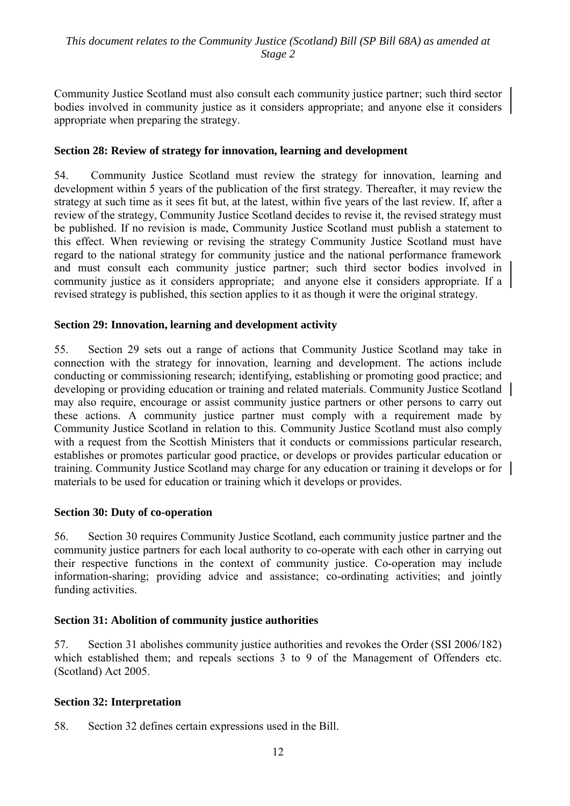Community Justice Scotland must also consult each community justice partner; such third sector bodies involved in community justice as it considers appropriate; and anyone else it considers appropriate when preparing the strategy.

## **Section 28: Review of strategy for innovation, learning and development**

54. Community Justice Scotland must review the strategy for innovation, learning and development within 5 years of the publication of the first strategy. Thereafter, it may review the strategy at such time as it sees fit but, at the latest, within five years of the last review. If, after a review of the strategy, Community Justice Scotland decides to revise it, the revised strategy must be published. If no revision is made, Community Justice Scotland must publish a statement to this effect. When reviewing or revising the strategy Community Justice Scotland must have regard to the national strategy for community justice and the national performance framework and must consult each community justice partner; such third sector bodies involved in community justice as it considers appropriate; and anyone else it considers appropriate. If a revised strategy is published, this section applies to it as though it were the original strategy.

#### **Section 29: Innovation, learning and development activity**

55. Section 29 sets out a range of actions that Community Justice Scotland may take in connection with the strategy for innovation, learning and development. The actions include conducting or commissioning research; identifying, establishing or promoting good practice; and developing or providing education or training and related materials. Community Justice Scotland may also require, encourage or assist community justice partners or other persons to carry out these actions. A community justice partner must comply with a requirement made by Community Justice Scotland in relation to this. Community Justice Scotland must also comply with a request from the Scottish Ministers that it conducts or commissions particular research, establishes or promotes particular good practice, or develops or provides particular education or training. Community Justice Scotland may charge for any education or training it develops or for materials to be used for education or training which it develops or provides.

#### **Section 30: Duty of co-operation**

56. Section 30 requires Community Justice Scotland, each community justice partner and the community justice partners for each local authority to co-operate with each other in carrying out their respective functions in the context of community justice. Co-operation may include information-sharing; providing advice and assistance; co-ordinating activities; and jointly funding activities.

#### **Section 31: Abolition of community justice authorities**

57. Section 31 abolishes community justice authorities and revokes the Order (SSI 2006/182) which established them; and repeals sections 3 to 9 of the Management of Offenders etc. (Scotland) Act 2005.

#### **Section 32: Interpretation**

58. Section 32 defines certain expressions used in the Bill.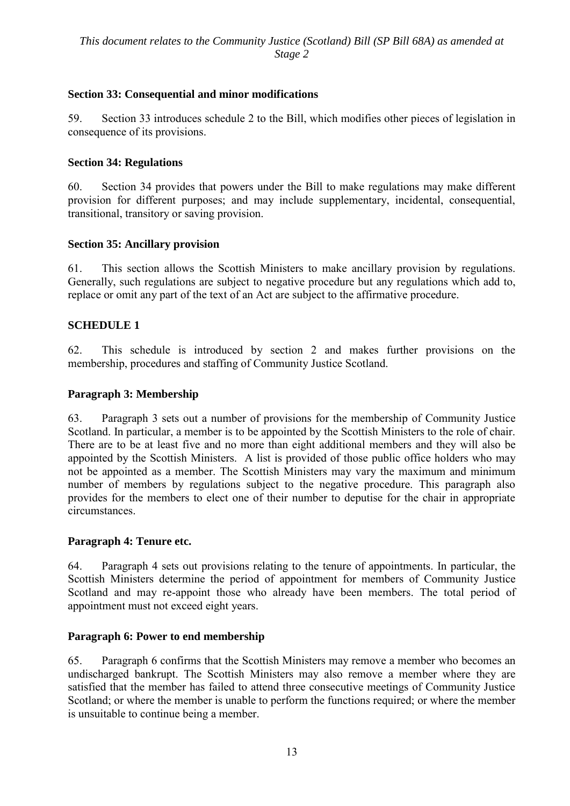# **Section 33: Consequential and minor modifications**

59. Section 33 introduces schedule 2 to the Bill, which modifies other pieces of legislation in consequence of its provisions.

## **Section 34: Regulations**

60. Section 34 provides that powers under the Bill to make regulations may make different provision for different purposes; and may include supplementary, incidental, consequential, transitional, transitory or saving provision.

#### **Section 35: Ancillary provision**

61. This section allows the Scottish Ministers to make ancillary provision by regulations. Generally, such regulations are subject to negative procedure but any regulations which add to, replace or omit any part of the text of an Act are subject to the affirmative procedure.

# **SCHEDULE 1**

62. This schedule is introduced by section 2 and makes further provisions on the membership, procedures and staffing of Community Justice Scotland.

#### **Paragraph 3: Membership**

63. Paragraph 3 sets out a number of provisions for the membership of Community Justice Scotland. In particular, a member is to be appointed by the Scottish Ministers to the role of chair. There are to be at least five and no more than eight additional members and they will also be appointed by the Scottish Ministers. A list is provided of those public office holders who may not be appointed as a member. The Scottish Ministers may vary the maximum and minimum number of members by regulations subject to the negative procedure. This paragraph also provides for the members to elect one of their number to deputise for the chair in appropriate circumstances.

#### **Paragraph 4: Tenure etc.**

64. Paragraph 4 sets out provisions relating to the tenure of appointments. In particular, the Scottish Ministers determine the period of appointment for members of Community Justice Scotland and may re-appoint those who already have been members. The total period of appointment must not exceed eight years.

#### **Paragraph 6: Power to end membership**

65. Paragraph 6 confirms that the Scottish Ministers may remove a member who becomes an undischarged bankrupt. The Scottish Ministers may also remove a member where they are satisfied that the member has failed to attend three consecutive meetings of Community Justice Scotland; or where the member is unable to perform the functions required; or where the member is unsuitable to continue being a member.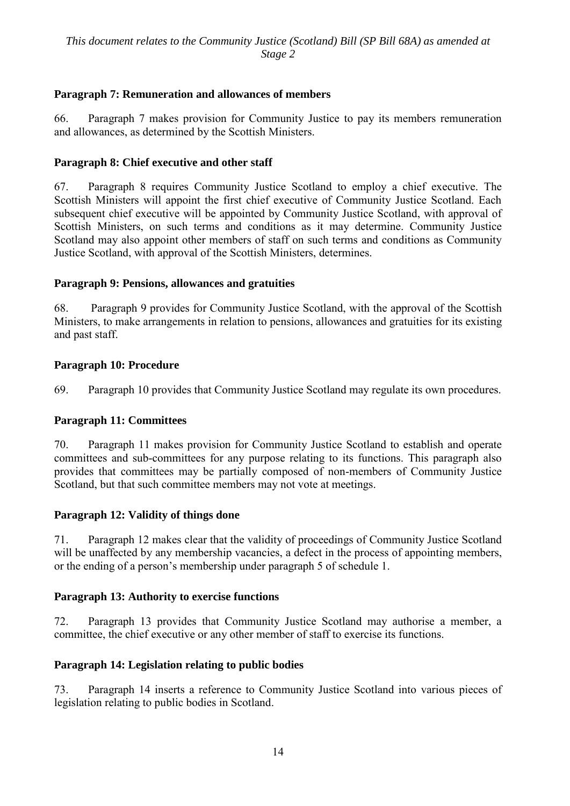# **Paragraph 7: Remuneration and allowances of members**

66. Paragraph 7 makes provision for Community Justice to pay its members remuneration and allowances, as determined by the Scottish Ministers.

# **Paragraph 8: Chief executive and other staff**

67. Paragraph 8 requires Community Justice Scotland to employ a chief executive. The Scottish Ministers will appoint the first chief executive of Community Justice Scotland. Each subsequent chief executive will be appointed by Community Justice Scotland, with approval of Scottish Ministers, on such terms and conditions as it may determine. Community Justice Scotland may also appoint other members of staff on such terms and conditions as Community Justice Scotland, with approval of the Scottish Ministers, determines.

# **Paragraph 9: Pensions, allowances and gratuities**

68. Paragraph 9 provides for Community Justice Scotland, with the approval of the Scottish Ministers, to make arrangements in relation to pensions, allowances and gratuities for its existing and past staff.

# **Paragraph 10: Procedure**

69. Paragraph 10 provides that Community Justice Scotland may regulate its own procedures.

#### **Paragraph 11: Committees**

70. Paragraph 11 makes provision for Community Justice Scotland to establish and operate committees and sub-committees for any purpose relating to its functions. This paragraph also provides that committees may be partially composed of non-members of Community Justice Scotland, but that such committee members may not vote at meetings.

#### **Paragraph 12: Validity of things done**

71. Paragraph 12 makes clear that the validity of proceedings of Community Justice Scotland will be unaffected by any membership vacancies, a defect in the process of appointing members, or the ending of a person's membership under paragraph 5 of schedule 1.

#### **Paragraph 13: Authority to exercise functions**

72. Paragraph 13 provides that Community Justice Scotland may authorise a member, a committee, the chief executive or any other member of staff to exercise its functions.

#### **Paragraph 14: Legislation relating to public bodies**

73. Paragraph 14 inserts a reference to Community Justice Scotland into various pieces of legislation relating to public bodies in Scotland.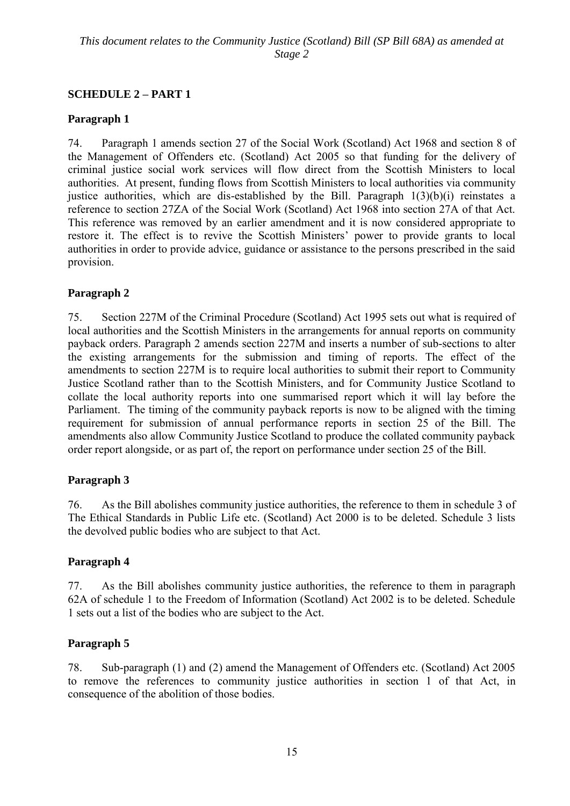# **SCHEDULE 2 – PART 1**

# **Paragraph 1**

74. Paragraph 1 amends section 27 of the Social Work (Scotland) Act 1968 and section 8 of the Management of Offenders etc. (Scotland) Act 2005 so that funding for the delivery of criminal justice social work services will flow direct from the Scottish Ministers to local authorities. At present, funding flows from Scottish Ministers to local authorities via community justice authorities, which are dis-established by the Bill. Paragraph 1(3)(b)(i) reinstates a reference to section 27ZA of the Social Work (Scotland) Act 1968 into section 27A of that Act. This reference was removed by an earlier amendment and it is now considered appropriate to restore it. The effect is to revive the Scottish Ministers' power to provide grants to local authorities in order to provide advice, guidance or assistance to the persons prescribed in the said provision.

# **Paragraph 2**

75. Section 227M of the Criminal Procedure (Scotland) Act 1995 sets out what is required of local authorities and the Scottish Ministers in the arrangements for annual reports on community payback orders. Paragraph 2 amends section 227M and inserts a number of sub-sections to alter the existing arrangements for the submission and timing of reports. The effect of the amendments to section 227M is to require local authorities to submit their report to Community Justice Scotland rather than to the Scottish Ministers, and for Community Justice Scotland to collate the local authority reports into one summarised report which it will lay before the Parliament. The timing of the community payback reports is now to be aligned with the timing requirement for submission of annual performance reports in section 25 of the Bill. The amendments also allow Community Justice Scotland to produce the collated community payback order report alongside, or as part of, the report on performance under section 25 of the Bill.

# **Paragraph 3**

76. As the Bill abolishes community justice authorities, the reference to them in schedule 3 of The Ethical Standards in Public Life etc. (Scotland) Act 2000 is to be deleted. Schedule 3 lists the devolved public bodies who are subject to that Act.

# **Paragraph 4**

77. As the Bill abolishes community justice authorities, the reference to them in paragraph 62A of schedule 1 to the Freedom of Information (Scotland) Act 2002 is to be deleted. Schedule 1 sets out a list of the bodies who are subject to the Act.

# **Paragraph 5**

78. Sub-paragraph (1) and (2) amend the Management of Offenders etc. (Scotland) Act 2005 to remove the references to community justice authorities in section 1 of that Act, in consequence of the abolition of those bodies.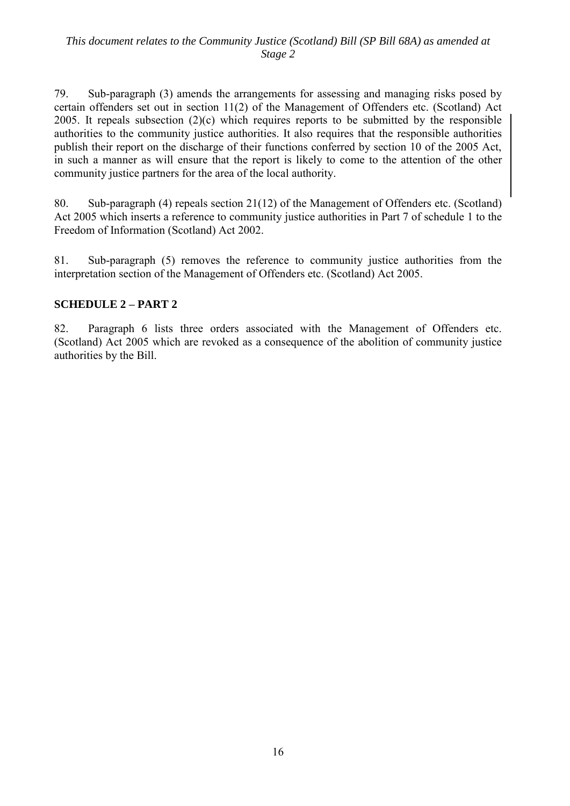79. Sub-paragraph (3) amends the arrangements for assessing and managing risks posed by certain offenders set out in section 11(2) of the Management of Offenders etc. (Scotland) Act 2005. It repeals subsection (2)(c) which requires reports to be submitted by the responsible authorities to the community justice authorities. It also requires that the responsible authorities publish their report on the discharge of their functions conferred by section 10 of the 2005 Act, in such a manner as will ensure that the report is likely to come to the attention of the other community justice partners for the area of the local authority.

80. Sub-paragraph (4) repeals section 21(12) of the Management of Offenders etc. (Scotland) Act 2005 which inserts a reference to community justice authorities in Part 7 of schedule 1 to the Freedom of Information (Scotland) Act 2002.

81. Sub-paragraph (5) removes the reference to community justice authorities from the interpretation section of the Management of Offenders etc. (Scotland) Act 2005.

# **SCHEDULE 2 – PART 2**

82. Paragraph 6 lists three orders associated with the Management of Offenders etc. (Scotland) Act 2005 which are revoked as a consequence of the abolition of community justice authorities by the Bill.